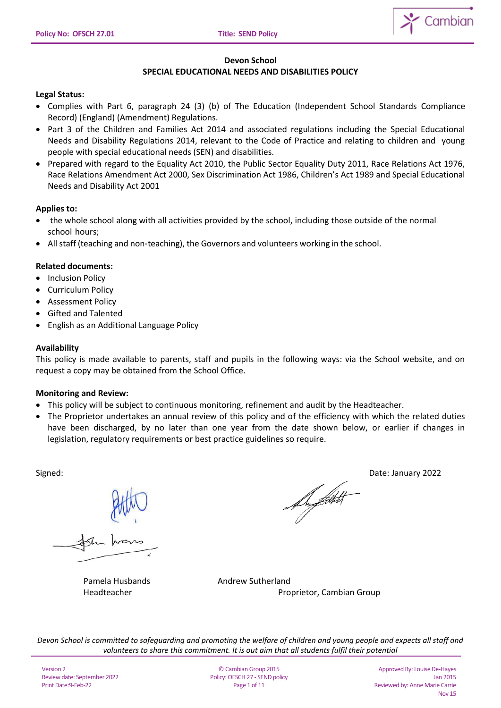

## **Devon School**

# **SPECIAL EDUCATIONAL NEEDS AND DISABILITIES POLICY**

## **Legal Status:**

- Complies with Part 6, paragraph 24 (3) (b) of The Education (Independent School Standards Compliance Record) (England) (Amendment) Regulations.
- Part 3 of the Children and Families Act 2014 and associated regulations including the Special Educational Needs and Disability Regulations 2014, relevant to the Code of Practice and relating to children and young people with special educational needs (SEN) and disabilities.
- Prepared with regard to the Equality Act 2010, the Public Sector Equality Duty 2011, Race Relations Act 1976, Race Relations Amendment Act 2000, Sex Discrimination Act 1986, Children's Act 1989 and Special Educational Needs and Disability Act 2001

## **Applies to:**

- the whole school along with all activities provided by the school, including those outside of the normal school hours;
- All staff (teaching and non‐teaching), the Governors and volunteers working in the school.

## **Related documents:**

- Inclusion Policy
- Curriculum Policy
- Assessment Policy
- Gifted and Talented
- English as an Additional Language Policy

### **Availability**

This policy is made available to parents, staff and pupils in the following ways: via the School website, and on request a copy may be obtained from the School Office.

### **Monitoring and Review:**

- This policy will be subject to continuous monitoring, refinement and audit by the Headteacher.
- The Proprietor undertakes an annual review of this policy and of the efficiency with which the related duties have been discharged, by no later than one year from the date shown below, or earlier if changes in legislation, regulatory requirements or best practice guidelines so require.

Signed:<br> $\theta$  by  $\theta$  Date: January 2022

Pamela Husbands **Andrew Sutherland** Headteacher **Proprietor**, Cambian Group

*Devon School is committed to safeguarding and promoting the welfare of children and young people and expects all staff and volunteers to share this commitment. It is out aim that all students fulfil their potential*

© Cambian Group 2015 Policy: OFSCH 27 - SEND policy Page 1 of 11

Approved By: Louise De-Hayes Jan 2015 Reviewed by: Anne Marie Carrie Nov 15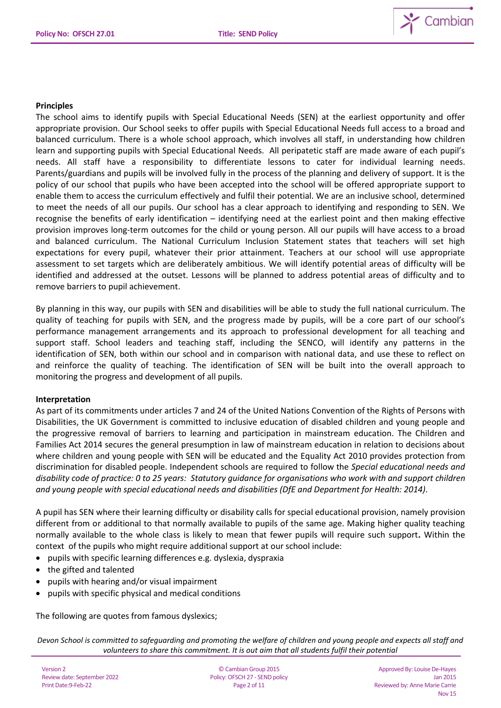

## **Principles**

The school aims to identify pupils with Special Educational Needs (SEN) at the earliest opportunity and offer appropriate provision. Our School seeks to offer pupils with Special Educational Needs full access to a broad and balanced curriculum. There is a whole school approach, which involves all staff, in understanding how children learn and supporting pupils with Special Educational Needs. All peripatetic staff are made aware of each pupil's needs. All staff have a responsibility to differentiate lessons to cater for individual learning needs. Parents/guardians and pupils will be involved fully in the process of the planning and delivery of support. It is the policy of our school that pupils who have been accepted into the school will be offered appropriate support to enable them to access the curriculum effectively and fulfil their potential. We are an inclusive school, determined to meet the needs of all our pupils. Our school has a clear approach to identifying and responding to SEN. We recognise the benefits of early identification – identifying need at the earliest point and then making effective provision improves long-term outcomes for the child or young person. All our pupils will have access to a broad and balanced curriculum. The National Curriculum Inclusion Statement states that teachers will set high expectations for every pupil, whatever their prior attainment. Teachers at our school will use appropriate assessment to set targets which are deliberately ambitious. We will identify potential areas of difficulty will be identified and addressed at the outset. Lessons will be planned to address potential areas of difficulty and to remove barriers to pupil achievement.

By planning in this way, our pupils with SEN and disabilities will be able to study the full national curriculum. The quality of teaching for pupils with SEN, and the progress made by pupils, will be a core part of our school's performance management arrangements and its approach to professional development for all teaching and support staff. School leaders and teaching staff, including the SENCO, will identify any patterns in the identification of SEN, both within our school and in comparison with national data, and use these to reflect on and reinforce the quality of teaching. The identification of SEN will be built into the overall approach to monitoring the progress and development of all pupils.

## **Interpretation**

As part of its commitments under articles 7 and 24 of the United Nations Convention of the Rights of Persons with Disabilities, the UK Government is committed to inclusive education of disabled children and young people and the progressive removal of barriers to learning and participation in mainstream education. The Children and Families Act 2014 secures the general presumption in law of mainstream education in relation to decisions about where children and young people with SEN will be educated and the Equality Act 2010 provides protection from discrimination for disabled people. Independent schools are required to follow the *Special educational needs and disability code of practice: 0 to 25 years: Statutory guidance for organisations who work with and support children and young people with special educational needs and disabilities (DfE and Department for Health: 2014).*

A pupil has SEN where their learning difficulty or disability calls for special educational provision, namely provision different from or additional to that normally available to pupils of the same age. Making higher quality teaching normally available to the whole class is likely to mean that fewer pupils will require such support**.** Within the context of the pupils who might require additional support at our school include:

- pupils with specific learning differences e.g. dyslexia, dyspraxia
- the gifted and talented
- pupils with hearing and/or visual impairment
- pupils with specific physical and medical conditions

The following are quotes from famous dyslexics;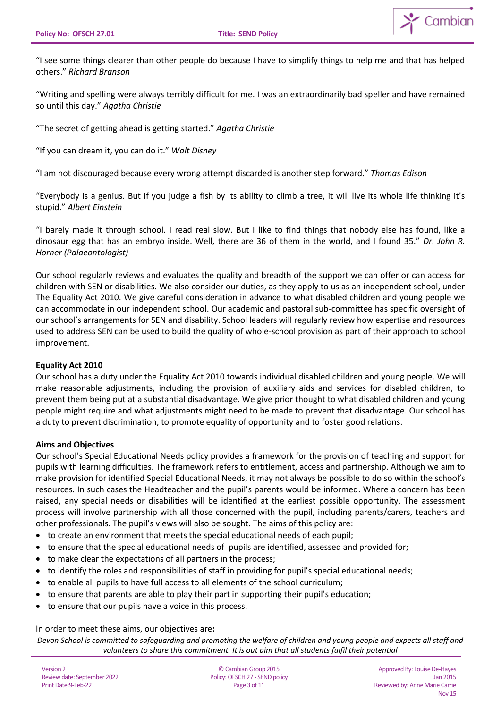

"I see some things clearer than other people do because I have to simplify things to help me and that has helped others." *Richard Branson*

"Writing and spelling were always terribly difficult for me. I was an extraordinarily bad speller and have remained so until this day." *Agatha Christie*

"The secret of getting ahead is getting started." *Agatha Christie*

"If you can dream it, you can do it." *Walt Disney*

"I am not discouraged because every wrong attempt discarded is another step forward." *Thomas Edison*

"Everybody is a genius. But if you judge a fish by its ability to climb a tree, it will live its whole life thinking it's stupid." *Albert Einstein*

"I barely made it through school. I read real slow. But I like to find things that nobody else has found, like a dinosaur egg that has an embryo inside. Well, there are 36 of them in the world, and I found 35." *Dr. John R. Horner (Palaeontologist)*

Our school regularly reviews and evaluates the quality and breadth of the support we can offer or can access for children with SEN or disabilities. We also consider our duties, as they apply to us as an independent school, under The Equality Act 2010. We give careful consideration in advance to what disabled children and young people we can accommodate in our independent school. Our academic and pastoral sub-committee has specific oversight of our school's arrangements for SEN and disability. School leaders will regularly review how expertise and resources used to address SEN can be used to build the quality of whole-school provision as part of their approach to school improvement.

### **Equality Act 2010**

Our school has a duty under the Equality Act 2010 towards individual disabled children and young people. We will make reasonable adjustments, including the provision of auxiliary aids and services for disabled children, to prevent them being put at a substantial disadvantage. We give prior thought to what disabled children and young people might require and what adjustments might need to be made to prevent that disadvantage. Our school has a duty to prevent discrimination, to promote equality of opportunity and to foster good relations.

### **Aims and Objectives**

Our school's Special Educational Needs policy provides a framework for the provision of teaching and support for pupils with learning difficulties. The framework refers to entitlement, access and partnership. Although we aim to make provision for identified Special Educational Needs, it may not always be possible to do so within the school's resources. In such cases the Headteacher and the pupil's parents would be informed. Where a concern has been raised, any special needs or disabilities will be identified at the earliest possible opportunity. The assessment process will involve partnership with all those concerned with the pupil, including parents/carers, teachers and other professionals. The pupil's views will also be sought. The aims of this policy are:

- to create an environment that meets the special educational needs of each pupil;
- to ensure that the special educational needs of pupils are identified, assessed and provided for;
- to make clear the expectations of all partners in the process;
- to identify the roles and responsibilities of staff in providing for pupil's special educational needs;
- to enable all pupils to have full access to all elements of the school curriculum;
- to ensure that parents are able to play their part in supporting their pupil's education;
- to ensure that our pupils have a voice in this process.

In order to meet these aims, our objectives are**:**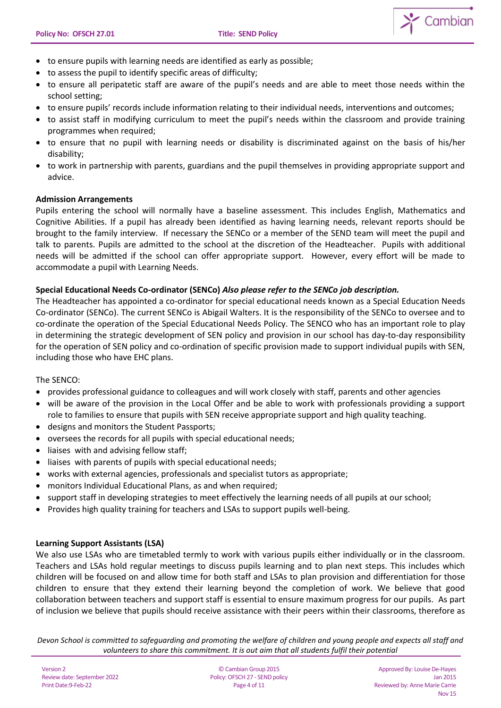

- to ensure pupils with learning needs are identified as early as possible;
- to assess the pupil to identify specific areas of difficulty;
- to ensure all peripatetic staff are aware of the pupil's needs and are able to meet those needs within the school setting;
- to ensure pupils' records include information relating to their individual needs, interventions and outcomes;
- to assist staff in modifying curriculum to meet the pupil's needs within the classroom and provide training programmes when required;
- to ensure that no pupil with learning needs or disability is discriminated against on the basis of his/her disability;
- to work in partnership with parents, guardians and the pupil themselves in providing appropriate support and advice.

### **Admission Arrangements**

Pupils entering the school will normally have a baseline assessment. This includes English, Mathematics and Cognitive Abilities. If a pupil has already been identified as having learning needs, relevant reports should be brought to the family interview. If necessary the SENCo or a member of the SEND team will meet the pupil and talk to parents. Pupils are admitted to the school at the discretion of the Headteacher. Pupils with additional needs will be admitted if the school can offer appropriate support. However, every effort will be made to accommodate a pupil with Learning Needs.

### **Special Educational Needs Co-ordinator (SENCo)** *Also please refer to the SENCo job description.*

The Headteacher has appointed a co-ordinator for special educational needs known as a Special Education Needs Co-ordinator (SENCo). The current SENCo is Abigail Walters. It is the responsibility of the SENCo to oversee and to co-ordinate the operation of the Special Educational Needs Policy. The SENCO who has an important role to play in determining the strategic development of SEN policy and provision in our school has day-to-day responsibility for the operation of SEN policy and co-ordination of specific provision made to support individual pupils with SEN, including those who have EHC plans.

### The SENCO:

- provides professional guidance to colleagues and will work closely with staff, parents and other agencies
- will be aware of the provision in the Local Offer and be able to work with professionals providing a support role to families to ensure that pupils with SEN receive appropriate support and high quality teaching.
- designs and monitors the Student Passports;
- oversees the records for all pupils with special educational needs;
- liaises with and advising fellow staff;
- liaises with parents of pupils with special educational needs;
- works with external agencies, professionals and specialist tutors as appropriate;
- monitors Individual Educational Plans, as and when required;
- support staff in developing strategies to meet effectively the learning needs of all pupils at our school;
- Provides high quality training for teachers and LSAs to support pupils well-being.

### **Learning Support Assistants (LSA)**

We also use LSAs who are timetabled termly to work with various pupils either individually or in the classroom. Teachers and LSAs hold regular meetings to discuss pupils learning and to plan next steps. This includes which children will be focused on and allow time for both staff and LSAs to plan provision and differentiation for those children to ensure that they extend their learning beyond the completion of work. We believe that good collaboration between teachers and support staff is essential to ensure maximum progress for our pupils. As part of inclusion we believe that pupils should receive assistance with their peers within their classrooms, therefore as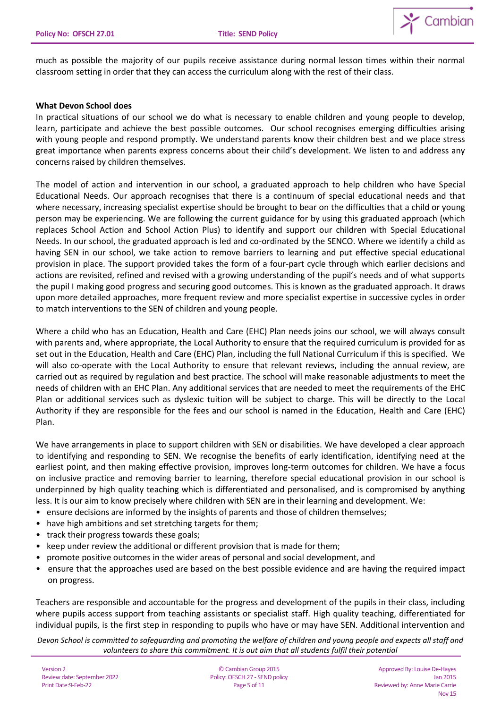

much as possible the majority of our pupils receive assistance during normal lesson times within their normal classroom setting in order that they can access the curriculum along with the rest of their class.

## **What Devon School does**

In practical situations of our school we do what is necessary to enable children and young people to develop, learn, participate and achieve the best possible outcomes. Our school recognises emerging difficulties arising with young people and respond promptly. We understand parents know their children best and we place stress great importance when parents express concerns about their child's development. We listen to and address any concerns raised by children themselves.

The model of action and intervention in our school, a graduated approach to help children who have Special Educational Needs. Our approach recognises that there is a continuum of special educational needs and that where necessary, increasing specialist expertise should be brought to bear on the difficulties that a child or young person may be experiencing. We are following the current guidance for by using this graduated approach (which replaces School Action and School Action Plus) to identify and support our children with Special Educational Needs. In our school, the graduated approach is led and co-ordinated by the SENCO. Where we identify a child as having SEN in our school, we take action to remove barriers to learning and put effective special educational provision in place. The support provided takes the form of a four-part cycle through which earlier decisions and actions are revisited, refined and revised with a growing understanding of the pupil's needs and of what supports the pupil I making good progress and securing good outcomes. This is known as the graduated approach. It draws upon more detailed approaches, more frequent review and more specialist expertise in successive cycles in order to match interventions to the SEN of children and young people.

Where a child who has an Education, Health and Care (EHC) Plan needs joins our school, we will always consult with parents and, where appropriate, the Local Authority to ensure that the required curriculum is provided for as set out in the Education, Health and Care (EHC) Plan, including the full National Curriculum if this is specified. We will also co-operate with the Local Authority to ensure that relevant reviews, including the annual review, are carried out as required by regulation and best practice. The school will make reasonable adjustments to meet the needs of children with an EHC Plan. Any additional services that are needed to meet the requirements of the EHC Plan or additional services such as dyslexic tuition will be subject to charge. This will be directly to the Local Authority if they are responsible for the fees and our school is named in the Education, Health and Care (EHC) Plan.

We have arrangements in place to support children with SEN or disabilities. We have developed a clear approach to identifying and responding to SEN. We recognise the benefits of early identification, identifying need at the earliest point, and then making effective provision, improves long-term outcomes for children. We have a focus on inclusive practice and removing barrier to learning, therefore special educational provision in our school is underpinned by high quality teaching which is differentiated and personalised, and is compromised by anything less. It is our aim to know precisely where children with SEN are in their learning and development. We:

- ensure decisions are informed by the insights of parents and those of children themselves;
- have high ambitions and set stretching targets for them;
- track their progress towards these goals;
- keep under review the additional or different provision that is made for them;
- promote positive outcomes in the wider areas of personal and social development, and
- ensure that the approaches used are based on the best possible evidence and are having the required impact on progress.

Teachers are responsible and accountable for the progress and development of the pupils in their class, including where pupils access support from teaching assistants or specialist staff. High quality teaching, differentiated for individual pupils, is the first step in responding to pupils who have or may have SEN. Additional intervention and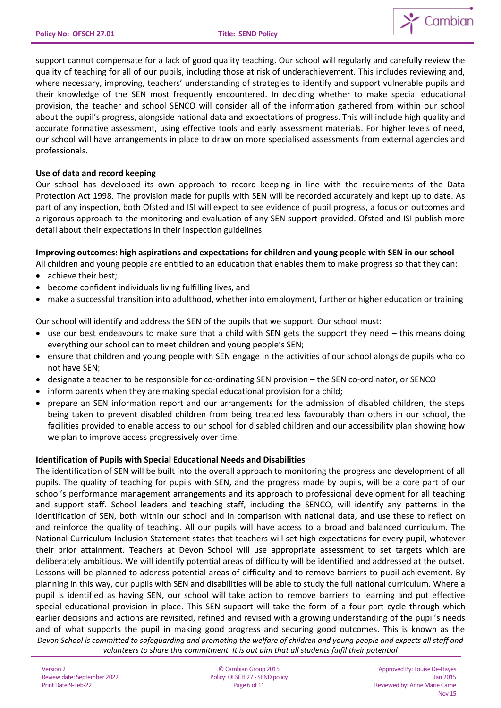

support cannot compensate for a lack of good quality teaching. Our school will regularly and carefully review the quality of teaching for all of our pupils, including those at risk of underachievement. This includes reviewing and, where necessary, improving, teachers' understanding of strategies to identify and support vulnerable pupils and their knowledge of the SEN most frequently encountered. In deciding whether to make special educational provision, the teacher and school SENCO will consider all of the information gathered from within our school about the pupil's progress, alongside national data and expectations of progress. This will include high quality and accurate formative assessment, using effective tools and early assessment materials. For higher levels of need, our school will have arrangements in place to draw on more specialised assessments from external agencies and professionals.

## **Use of data and record keeping**

Our school has developed its own approach to record keeping in line with the requirements of the Data Protection Act 1998. The provision made for pupils with SEN will be recorded accurately and kept up to date. As part of any inspection, both Ofsted and ISI will expect to see evidence of pupil progress, a focus on outcomes and a rigorous approach to the monitoring and evaluation of any SEN support provided. Ofsted and ISI publish more detail about their expectations in their inspection guidelines.

## **Improving outcomes: high aspirations and expectations for children and young people with SEN in our school**

- All children and young people are entitled to an education that enables them to make progress so that they can:
- achieve their best;
- become confident individuals living fulfilling lives, and
- make a successful transition into adulthood, whether into employment, further or higher education or training

Our school will identify and address the SEN of the pupils that we support. Our school must:

- use our best endeavours to make sure that a child with SEN gets the support they need this means doing everything our school can to meet children and young people's SEN;
- ensure that children and young people with SEN engage in the activities of our school alongside pupils who do not have SEN;
- designate a teacher to be responsible for co-ordinating SEN provision the SEN co-ordinator, or SENCO
- inform parents when they are making special educational provision for a child;
- prepare an SEN information report and our arrangements for the admission of disabled children, the steps being taken to prevent disabled children from being treated less favourably than others in our school, the facilities provided to enable access to our school for disabled children and our accessibility plan showing how we plan to improve access progressively over time.

## **Identification of Pupils with Special Educational Needs and Disabilities**

*Devon School is committed to safeguarding and promoting the welfare of children and young people and expects all staff and volunteers to share this commitment. It is out aim that all students fulfil their potential* The identification of SEN will be built into the overall approach to monitoring the progress and development of all pupils. The quality of teaching for pupils with SEN, and the progress made by pupils, will be a core part of our school's performance management arrangements and its approach to professional development for all teaching and support staff. School leaders and teaching staff, including the SENCO, will identify any patterns in the identification of SEN, both within our school and in comparison with national data, and use these to reflect on and reinforce the quality of teaching. All our pupils will have access to a broad and balanced curriculum. The National Curriculum Inclusion Statement states that teachers will set high expectations for every pupil, whatever their prior attainment. Teachers at Devon School will use appropriate assessment to set targets which are deliberately ambitious. We will identify potential areas of difficulty will be identified and addressed at the outset. Lessons will be planned to address potential areas of difficulty and to remove barriers to pupil achievement. By planning in this way, our pupils with SEN and disabilities will be able to study the full national curriculum. Where a pupil is identified as having SEN, our school will take action to remove barriers to learning and put effective special educational provision in place. This SEN support will take the form of a four-part cycle through which earlier decisions and actions are revisited, refined and revised with a growing understanding of the pupil's needs and of what supports the pupil in making good progress and securing good outcomes. This is known as the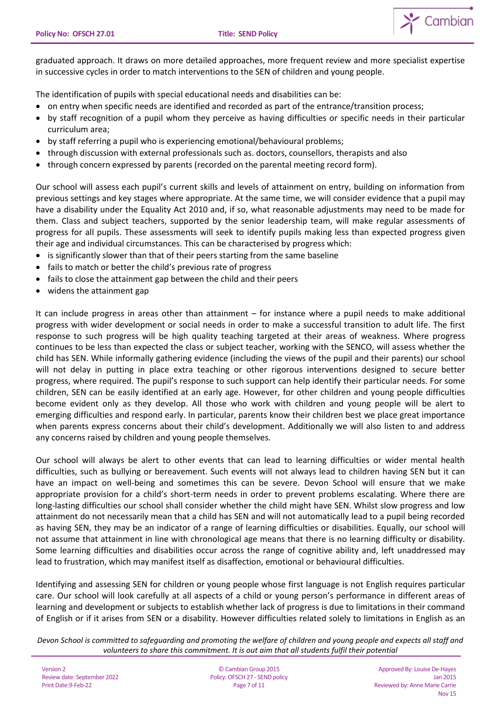

graduated approach. It draws on more detailed approaches, more frequent review and more specialist expertise in successive cycles in order to match interventions to the SEN of children and young people.

The identification of pupils with special educational needs and disabilities can be:

- on entry when specific needs are identified and recorded as part of the entrance/transition process;
- by staff recognition of a pupil whom they perceive as having difficulties or specific needs in their particular curriculum area;
- by staff referring a pupil who is experiencing emotional/behavioural problems;
- through discussion with external professionals such as. doctors, counsellors, therapists and also
- through concern expressed by parents (recorded on the parental meeting record form).

Our school will assess each pupil's current skills and levels of attainment on entry, building on information from previous settings and key stages where appropriate. At the same time, we will consider evidence that a pupil may have a disability under the Equality Act 2010 and, if so, what reasonable adjustments may need to be made for them. Class and subject teachers, supported by the senior leadership team, will make regular assessments of progress for all pupils. These assessments will seek to identify pupils making less than expected progress given their age and individual circumstances. This can be characterised by progress which:

- is significantly slower than that of their peers starting from the same baseline
- fails to match or better the child's previous rate of progress
- fails to close the attainment gap between the child and their peers
- widens the attainment gap

It can include progress in areas other than attainment – for instance where a pupil needs to make additional progress with wider development or social needs in order to make a successful transition to adult life. The first response to such progress will be high quality teaching targeted at their areas of weakness. Where progress continues to be less than expected the class or subject teacher, working with the SENCO, will assess whether the child has SEN. While informally gathering evidence (including the views of the pupil and their parents) our school will not delay in putting in place extra teaching or other rigorous interventions designed to secure better progress, where required. The pupil's response to such support can help identify their particular needs. For some children, SEN can be easily identified at an early age. However, for other children and young people difficulties become evident only as they develop. All those who work with children and young people will be alert to emerging difficulties and respond early. In particular, parents know their children best we place great importance when parents express concerns about their child's development. Additionally we will also listen to and address any concerns raised by children and young people themselves.

Our school will always be alert to other events that can lead to learning difficulties or wider mental health difficulties, such as bullying or bereavement. Such events will not always lead to children having SEN but it can have an impact on well-being and sometimes this can be severe. Devon School will ensure that we make appropriate provision for a child's short-term needs in order to prevent problems escalating. Where there are long-lasting difficulties our school shall consider whether the child might have SEN. Whilst slow progress and low attainment do not necessarily mean that a child has SEN and will not automatically lead to a pupil being recorded as having SEN, they may be an indicator of a range of learning difficulties or disabilities. Equally, our school will not assume that attainment in line with chronological age means that there is no learning difficulty or disability. Some learning difficulties and disabilities occur across the range of cognitive ability and, left unaddressed may lead to frustration, which may manifest itself as disaffection, emotional or behavioural difficulties.

Identifying and assessing SEN for children or young people whose first language is not English requires particular care. Our school will look carefully at all aspects of a child or young person's performance in different areas of learning and development or subjects to establish whether lack of progress is due to limitations in their command of English or if it arises from SEN or a disability. However difficulties related solely to limitations in English as an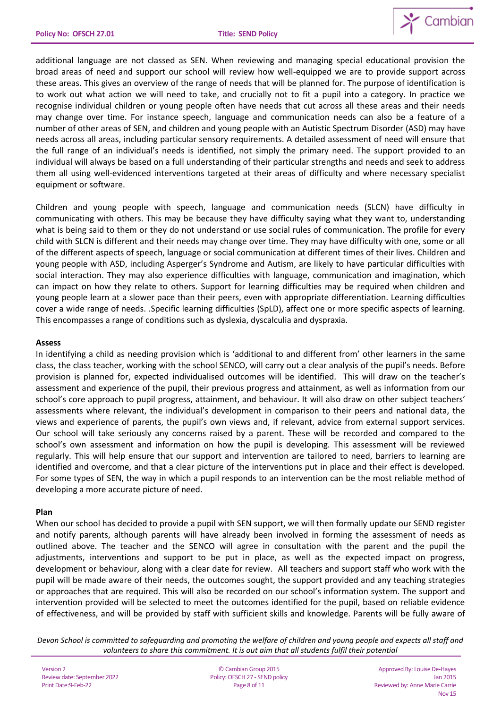

additional language are not classed as SEN. When reviewing and managing special educational provision the broad areas of need and support our school will review how well-equipped we are to provide support across these areas. This gives an overview of the range of needs that will be planned for. The purpose of identification is to work out what action we will need to take, and crucially not to fit a pupil into a category. In practice we recognise individual children or young people often have needs that cut across all these areas and their needs may change over time. For instance speech, language and communication needs can also be a feature of a number of other areas of SEN, and children and young people with an Autistic Spectrum Disorder (ASD) may have needs across all areas, including particular sensory requirements. A detailed assessment of need will ensure that the full range of an individual's needs is identified, not simply the primary need. The support provided to an individual will always be based on a full understanding of their particular strengths and needs and seek to address them all using well-evidenced interventions targeted at their areas of difficulty and where necessary specialist equipment or software.

Children and young people with speech, language and communication needs (SLCN) have difficulty in communicating with others. This may be because they have difficulty saying what they want to, understanding what is being said to them or they do not understand or use social rules of communication. The profile for every child with SLCN is different and their needs may change over time. They may have difficulty with one, some or all of the different aspects of speech, language or social communication at different times of their lives. Children and young people with ASD, including Asperger's Syndrome and Autism, are likely to have particular difficulties with social interaction. They may also experience difficulties with language, communication and imagination, which can impact on how they relate to others. Support for learning difficulties may be required when children and young people learn at a slower pace than their peers, even with appropriate differentiation. Learning difficulties cover a wide range of needs. .Specific learning difficulties (SpLD), affect one or more specific aspects of learning. This encompasses a range of conditions such as dyslexia, dyscalculia and dyspraxia.

## **Assess**

In identifying a child as needing provision which is 'additional to and different from' other learners in the same class, the class teacher, working with the school SENCO, will carry out a clear analysis of the pupil's needs. Before provision is planned for, expected individualised outcomes will be identified. This will draw on the teacher's assessment and experience of the pupil, their previous progress and attainment, as well as information from our school's core approach to pupil progress, attainment, and behaviour. It will also draw on other subject teachers' assessments where relevant, the individual's development in comparison to their peers and national data, the views and experience of parents, the pupil's own views and, if relevant, advice from external support services. Our school will take seriously any concerns raised by a parent. These will be recorded and compared to the school's own assessment and information on how the pupil is developing. This assessment will be reviewed regularly. This will help ensure that our support and intervention are tailored to need, barriers to learning are identified and overcome, and that a clear picture of the interventions put in place and their effect is developed. For some types of SEN, the way in which a pupil responds to an intervention can be the most reliable method of developing a more accurate picture of need.

### **Plan**

When our school has decided to provide a pupil with SEN support, we will then formally update our SEND register and notify parents, although parents will have already been involved in forming the assessment of needs as outlined above. The teacher and the SENCO will agree in consultation with the parent and the pupil the adjustments, interventions and support to be put in place, as well as the expected impact on progress, development or behaviour, along with a clear date for review. All teachers and support staff who work with the pupil will be made aware of their needs, the outcomes sought, the support provided and any teaching strategies or approaches that are required. This will also be recorded on our school's information system. The support and intervention provided will be selected to meet the outcomes identified for the pupil, based on reliable evidence of effectiveness, and will be provided by staff with sufficient skills and knowledge. Parents will be fully aware of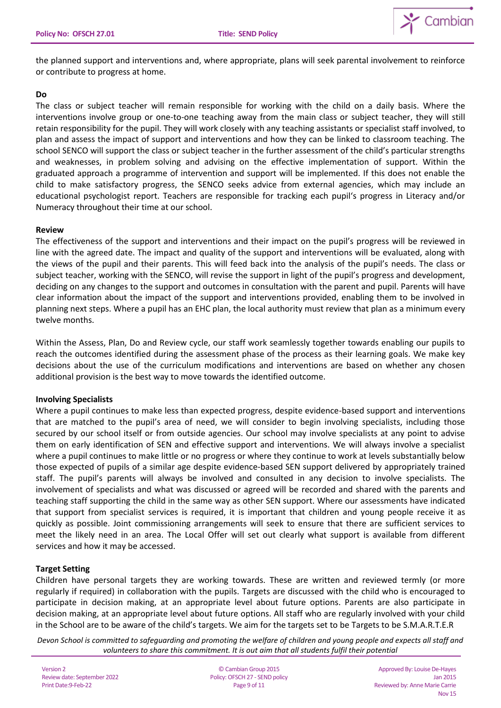

the planned support and interventions and, where appropriate, plans will seek parental involvement to reinforce or contribute to progress at home.

### **Do**

The class or subject teacher will remain responsible for working with the child on a daily basis. Where the interventions involve group or one-to-one teaching away from the main class or subject teacher, they will still retain responsibility for the pupil. They will work closely with any teaching assistants or specialist staff involved, to plan and assess the impact of support and interventions and how they can be linked to classroom teaching. The school SENCO will support the class or subject teacher in the further assessment of the child's particular strengths and weaknesses, in problem solving and advising on the effective implementation of support. Within the graduated approach a programme of intervention and support will be implemented. If this does not enable the child to make satisfactory progress, the SENCO seeks advice from external agencies, which may include an educational psychologist report. Teachers are responsible for tracking each pupil's progress in Literacy and/or Numeracy throughout their time at our school.

## **Review**

The effectiveness of the support and interventions and their impact on the pupil's progress will be reviewed in line with the agreed date. The impact and quality of the support and interventions will be evaluated, along with the views of the pupil and their parents. This will feed back into the analysis of the pupil's needs. The class or subject teacher, working with the SENCO, will revise the support in light of the pupil's progress and development, deciding on any changes to the support and outcomes in consultation with the parent and pupil. Parents will have clear information about the impact of the support and interventions provided, enabling them to be involved in planning next steps. Where a pupil has an EHC plan, the local authority must review that plan as a minimum every twelve months.

Within the Assess, Plan, Do and Review cycle, our staff work seamlessly together towards enabling our pupils to reach the outcomes identified during the assessment phase of the process as their learning goals. We make key decisions about the use of the curriculum modifications and interventions are based on whether any chosen additional provision is the best way to move towards the identified outcome.

## **Involving Specialists**

Where a pupil continues to make less than expected progress, despite evidence-based support and interventions that are matched to the pupil's area of need, we will consider to begin involving specialists, including those secured by our school itself or from outside agencies. Our school may involve specialists at any point to advise them on early identification of SEN and effective support and interventions. We will always involve a specialist where a pupil continues to make little or no progress or where they continue to work at levels substantially below those expected of pupils of a similar age despite evidence-based SEN support delivered by appropriately trained staff. The pupil's parents will always be involved and consulted in any decision to involve specialists. The involvement of specialists and what was discussed or agreed will be recorded and shared with the parents and teaching staff supporting the child in the same way as other SEN support. Where our assessments have indicated that support from specialist services is required, it is important that children and young people receive it as quickly as possible. Joint commissioning arrangements will seek to ensure that there are sufficient services to meet the likely need in an area. The Local Offer will set out clearly what support is available from different services and how it may be accessed.

## **Target Setting**

Children have personal targets they are working towards. These are written and reviewed termly (or more regularly if required) in collaboration with the pupils. Targets are discussed with the child who is encouraged to participate in decision making, at an appropriate level about future options. Parents are also participate in decision making, at an appropriate level about future options. All staff who are regularly involved with your child in the School are to be aware of the child's targets. We aim for the targets set to be Targets to be S.M.A.R.T.E.R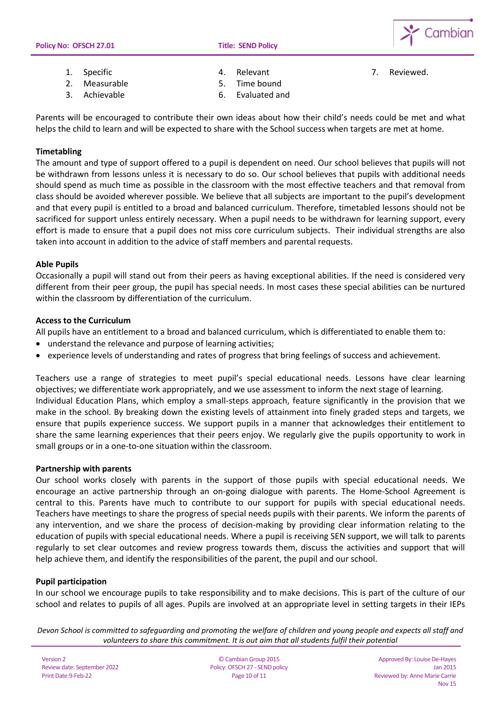

- 1. Specific
- 2. Measurable
- 3. Achievable

4. Relevant

7. Reviewed.

5. Time bound 6. Evaluated and

Parents will be encouraged to contribute their own ideas about how their child's needs could be met and what helps the child to learn and will be expected to share with the School success when targets are met at home.

## **Timetabling**

The amount and type of support offered to a pupil is dependent on need. Our school believes that pupils will not be withdrawn from lessons unless it is necessary to do so. Our school believes that pupils with additional needs should spend as much time as possible in the classroom with the most effective teachers and that removal from class should be avoided wherever possible. We believe that all subjects are important to the pupil's development and that every pupil is entitled to a broad and balanced curriculum. Therefore, timetabled lessons should not be sacrificed for support unless entirely necessary. When a pupil needs to be withdrawn for learning support, every effort is made to ensure that a pupil does not miss core curriculum subjects. Their individual strengths are also taken into account in addition to the advice of staff members and parental requests.

## **Able Pupils**

Occasionally a pupil will stand out from their peers as having exceptional abilities. If the need is considered very different from their peer group, the pupil has special needs. In most cases these special abilities can be nurtured within the classroom by differentiation of the curriculum.

### **Access to the Curriculum**

All pupils have an entitlement to a broad and balanced curriculum, which is differentiated to enable them to:

- understand the relevance and purpose of learning activities;
- experience levels of understanding and rates of progress that bring feelings of success and achievement.

Teachers use a range of strategies to meet pupil's special educational needs. Lessons have clear learning objectives; we differentiate work appropriately, and we use assessment to inform the next stage of learning. Individual Education Plans, which employ a small-steps approach, feature significantly in the provision that we make in the school. By breaking down the existing levels of attainment into finely graded steps and targets, we ensure that pupils experience success. We support pupils in a manner that acknowledges their entitlement to share the same learning experiences that their peers enjoy. We regularly give the pupils opportunity to work in small groups or in a one-to-one situation within the classroom.

### **Partnership with parents**

Our school works closely with parents in the support of those pupils with special educational needs. We encourage an active partnership through an on-going dialogue with parents. The Home-School Agreement is central to this. Parents have much to contribute to our support for pupils with special educational needs. Teachers have meetings to share the progress of special needs pupils with their parents. We inform the parents of any intervention, and we share the process of decision-making by providing clear information relating to the education of pupils with special educational needs. Where a pupil is receiving SEN support, we will talk to parents regularly to set clear outcomes and review progress towards them, discuss the activities and support that will help achieve them, and identify the responsibilities of the parent, the pupil and our school.

## **Pupil participation**

In our school we encourage pupils to take responsibility and to make decisions. This is part of the culture of our school and relates to pupils of all ages. Pupils are involved at an appropriate level in setting targets in their IEPs

*Devon School is committed to safeguarding and promoting the welfare of children and young people and expects all staff and volunteers to share this commitment. It is out aim that all students fulfil their potential*

© Cambian Group 2015 Policy: OFSCH 27 - SEND policy Page 10 of 11